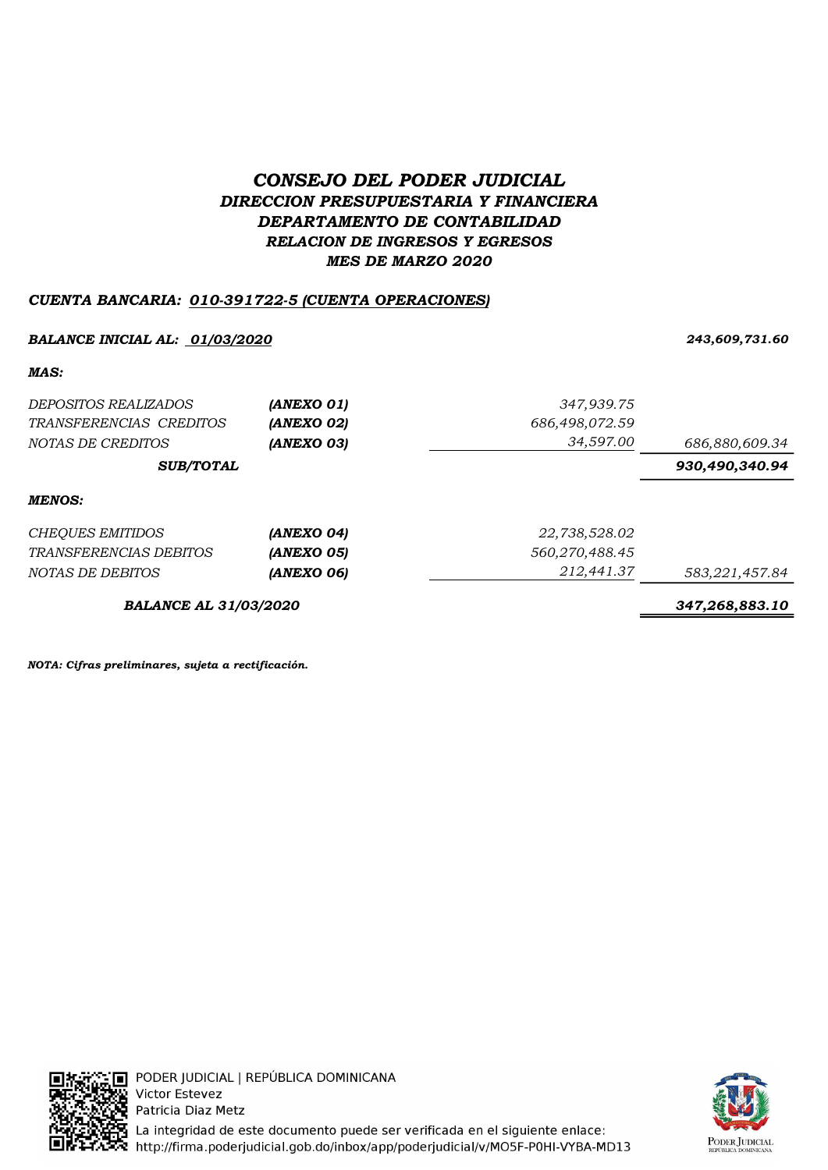# CONSEJO DEL PODER JUDICIAL DIRECCION PRESUPUESTARIA Y FINANCIERA DEPARTAMENTO DE CONTABILIDAD RELACION DE INGRESOS Y EGRESOS MES DE MARZO 2020

# CUENTA BANCARIA: 010-391722-5 (CUENTA OPERACIONES)

#### BALANCE INICIAL AL: <u>01/03/2020</u> 243,609,731.60

MAS:

| <i>DEPOSITOS REALIZADOS</i><br>TRANSFERENCIAS CREDITOS<br>NOTAS DE CREDITOS | (ANEXO 01)<br>(ANEXO 02)<br>(ANEXO 03) | 347,939.75<br>686,498,072.59<br>34,597.00 | 686,880,609.34 |
|-----------------------------------------------------------------------------|----------------------------------------|-------------------------------------------|----------------|
| <b>SUB/TOTAL</b>                                                            |                                        |                                           | 930,490,340.94 |
| <b>MENOS:</b>                                                               |                                        |                                           |                |
| CHEQUES EMITIDOS                                                            | (ANEXO 04)                             | 22,738,528.02                             |                |
| <i>TRANSFERENCIAS DEBITOS</i>                                               | (ANEXO 05)                             | 560,270,488.45                            |                |
| NOTAS DE DEBITOS                                                            | (ANEXO 06)                             | 212,441.37                                | 583,221,457.84 |
| <b>BALANCE AL 31/03/2020</b>                                                | 347,268,883.10                         |                                           |                |

NOTA: Cifras preliminares, sujeta a rectificación.



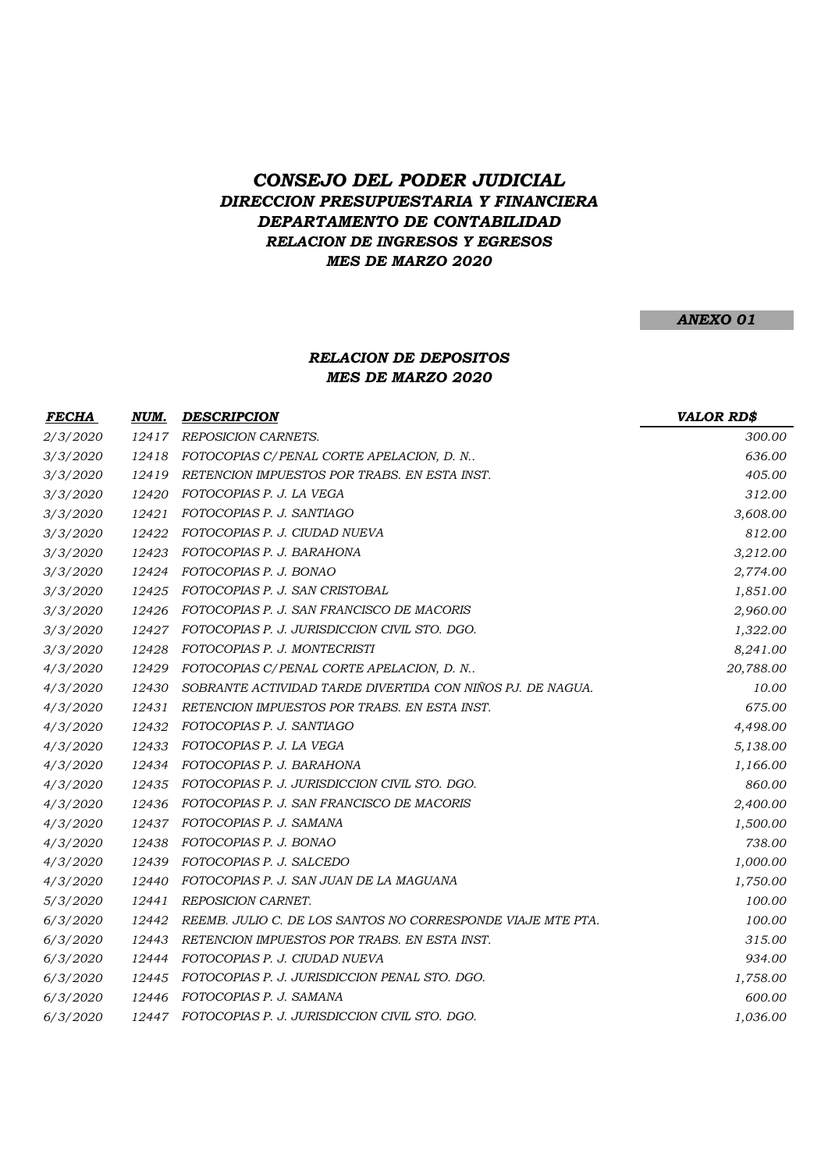# CONSEJO DEL PODER JUDICIAL DIRECCION PRESUPUESTARIA Y FINANCIERA DEPARTAMENTO DE CONTABILIDAD RELACION DE INGRESOS Y EGRESOS MES DE MARZO 2020

#### ANEXO 01

#### RELACION DE DEPOSITOS MES DE MARZO 2020

| <b>FECHA</b> | NUM.  | <b>DESCRIPCION</b>                                          | <b>VALOR RD\$</b> |
|--------------|-------|-------------------------------------------------------------|-------------------|
| 2/3/2020     | 12417 | REPOSICION CARNETS.                                         | 300.00            |
| 3/3/2020     | 12418 | FOTOCOPIAS C/PENAL CORTE APELACION, D. N                    | 636.00            |
| 3/3/2020     | 12419 | RETENCION IMPUESTOS POR TRABS. EN ESTA INST.                | 405.00            |
| 3/3/2020     | 12420 | FOTOCOPIAS P. J. LA VEGA                                    | 312.00            |
| 3/3/2020     | 12421 | FOTOCOPIAS P. J. SANTIAGO                                   | 3,608.00          |
| 3/3/2020     | 12422 | FOTOCOPIAS P. J. CIUDAD NUEVA                               | 812.00            |
| 3/3/2020     | 12423 | FOTOCOPIAS P. J. BARAHONA                                   | 3,212.00          |
| 3/3/2020     | 12424 | FOTOCOPIAS P. J. BONAO                                      | 2,774.00          |
| 3/3/2020     | 12425 | FOTOCOPIAS P. J. SAN CRISTOBAL                              | 1,851.00          |
| 3/3/2020     | 12426 | FOTOCOPIAS P. J. SAN FRANCISCO DE MACORIS                   | 2,960.00          |
| 3/3/2020     | 12427 | FOTOCOPIAS P. J. JURISDICCION CIVIL STO. DGO.               | 1,322.00          |
| 3/3/2020     | 12428 | FOTOCOPIAS P. J. MONTECRISTI                                | 8,241.00          |
| 4/3/2020     | 12429 | FOTOCOPIAS C/PENAL CORTE APELACION, D. N                    | 20,788.00         |
| 4/3/2020     | 12430 | SOBRANTE ACTIVIDAD TARDE DIVERTIDA CON NIÑOS PJ. DE NAGUA.  | 10.00             |
| 4/3/2020     | 12431 | RETENCION IMPUESTOS POR TRABS. EN ESTA INST.                | 675.00            |
| 4/3/2020     | 12432 | FOTOCOPIAS P. J. SANTIAGO                                   | 4,498.00          |
| 4/3/2020     | 12433 | FOTOCOPIAS P. J. LA VEGA                                    | 5,138.00          |
| 4/3/2020     | 12434 | FOTOCOPIAS P. J. BARAHONA                                   | 1,166.00          |
| 4/3/2020     | 12435 | FOTOCOPIAS P. J. JURISDICCION CIVIL STO. DGO.               | 860.00            |
| 4/3/2020     | 12436 | FOTOCOPIAS P. J. SAN FRANCISCO DE MACORIS                   | 2,400.00          |
| 4/3/2020     | 12437 | FOTOCOPIAS P. J. SAMANA                                     | 1,500.00          |
| 4/3/2020     | 12438 | FOTOCOPIAS P. J. BONAO                                      | 738.00            |
| 4/3/2020     | 12439 | FOTOCOPIAS P. J. SALCEDO                                    | 1,000.00          |
| 4/3/2020     | 12440 | FOTOCOPIAS P. J. SAN JUAN DE LA MAGUANA                     | 1,750.00          |
| 5/3/2020     | 12441 | REPOSICION CARNET.                                          | 100.00            |
| 6/3/2020     | 12442 | REEMB. JULIO C. DE LOS SANTOS NO CORRESPONDE VIAJE MTE PTA. | 100.00            |
| 6/3/2020     | 12443 | RETENCION IMPUESTOS POR TRABS. EN ESTA INST.                | 315.00            |
| 6/3/2020     | 12444 | FOTOCOPIAS P. J. CIUDAD NUEVA                               | 934.00            |
| 6/3/2020     | 12445 | FOTOCOPIAS P. J. JURISDICCION PENAL STO. DGO.               | 1,758.00          |
| 6/3/2020     | 12446 | FOTOCOPIAS P. J. SAMANA                                     | 600.00            |
| 6/3/2020     |       | 12447 FOTOCOPIAS P. J. JURISDICCION CIVIL STO. DGO.         | 1,036.00          |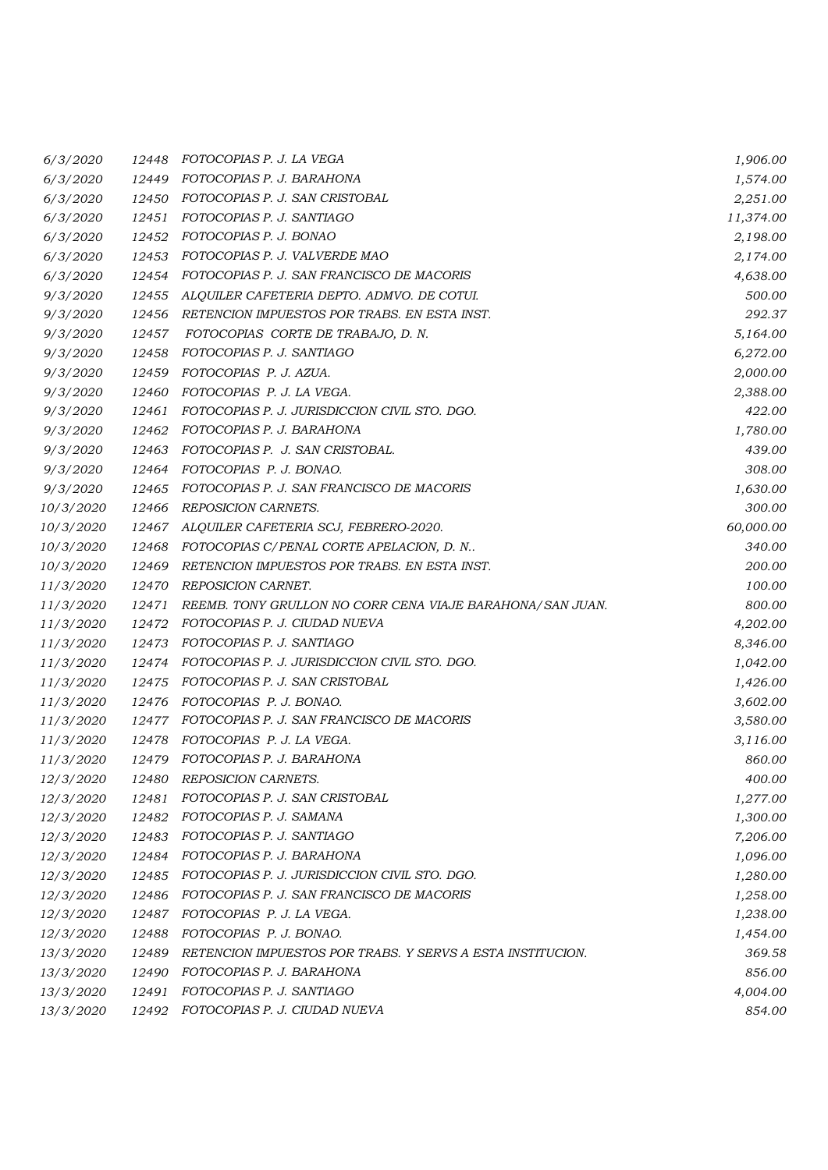| 6/3/2020  | 12448 | FOTOCOPIAS P. J. LA VEGA                                   | 1,906.00  |
|-----------|-------|------------------------------------------------------------|-----------|
| 6/3/2020  | 12449 | FOTOCOPIAS P. J. BARAHONA                                  | 1,574.00  |
| 6/3/2020  | 12450 | FOTOCOPIAS P. J. SAN CRISTOBAL                             | 2,251.00  |
| 6/3/2020  | 12451 | FOTOCOPIAS P. J. SANTIAGO                                  | 11,374.00 |
| 6/3/2020  | 12452 | FOTOCOPIAS P. J. BONAO                                     | 2,198.00  |
| 6/3/2020  | 12453 | FOTOCOPIAS P. J. VALVERDE MAO                              | 2,174.00  |
| 6/3/2020  | 12454 | FOTOCOPIAS P. J. SAN FRANCISCO DE MACORIS                  | 4,638.00  |
| 9/3/2020  | 12455 | ALQUILER CAFETERIA DEPTO. ADMVO. DE COTUI.                 | 500.00    |
| 9/3/2020  | 12456 | RETENCION IMPUESTOS POR TRABS. EN ESTA INST.               | 292.37    |
| 9/3/2020  | 12457 | FOTOCOPIAS CORTE DE TRABAJO, D. N.                         | 5,164.00  |
| 9/3/2020  | 12458 | FOTOCOPIAS P. J. SANTIAGO                                  | 6,272.00  |
| 9/3/2020  | 12459 | FOTOCOPIAS P. J. AZUA.                                     | 2,000.00  |
| 9/3/2020  | 12460 | FOTOCOPIAS P. J. LA VEGA.                                  | 2,388.00  |
| 9/3/2020  | 12461 | FOTOCOPIAS P. J. JURISDICCION CIVIL STO. DGO.              | 422.00    |
| 9/3/2020  | 12462 | FOTOCOPIAS P. J. BARAHONA                                  | 1,780.00  |
| 9/3/2020  | 12463 | FOTOCOPIAS P. J. SAN CRISTOBAL.                            | 439.00    |
| 9/3/2020  | 12464 | FOTOCOPIAS P. J. BONAO.                                    | 308.00    |
| 9/3/2020  | 12465 | FOTOCOPIAS P. J. SAN FRANCISCO DE MACORIS                  | 1,630.00  |
| 10/3/2020 | 12466 | REPOSICION CARNETS.                                        | 300.00    |
| 10/3/2020 | 12467 | ALQUILER CAFETERIA SCJ, FEBRERO-2020.                      | 60,000.00 |
| 10/3/2020 | 12468 | FOTOCOPIAS C/PENAL CORTE APELACION, D. N                   | 340.00    |
| 10/3/2020 | 12469 | RETENCION IMPUESTOS POR TRABS. EN ESTA INST.               | 200.00    |
| 11/3/2020 | 12470 | REPOSICION CARNET.                                         | 100.00    |
| 11/3/2020 | 12471 | REEMB. TONY GRULLON NO CORR CENA VIAJE BARAHONA/SAN JUAN.  | 800.00    |
| 11/3/2020 | 12472 | FOTOCOPIAS P. J. CIUDAD NUEVA                              | 4,202.00  |
| 11/3/2020 | 12473 | FOTOCOPIAS P. J. SANTIAGO                                  | 8,346.00  |
| 11/3/2020 | 12474 | FOTOCOPIAS P. J. JURISDICCION CIVIL STO. DGO.              | 1,042.00  |
| 11/3/2020 | 12475 | FOTOCOPIAS P. J. SAN CRISTOBAL                             | 1,426.00  |
| 11/3/2020 | 12476 | FOTOCOPIAS P. J. BONAO.                                    | 3,602.00  |
| 11/3/2020 | 12477 | FOTOCOPIAS P. J. SAN FRANCISCO DE MACORIS                  | 3,580.00  |
| 11/3/2020 | 12478 | FOTOCOPIAS P. J. LA VEGA.                                  | 3,116.00  |
| 11/3/2020 |       | 12479 FOTOCOPIAS P. J. BARAHONA                            | 860.00    |
| 12/3/2020 | 12480 | REPOSICION CARNETS.                                        | 400.00    |
| 12/3/2020 | 12481 | FOTOCOPIAS P. J. SAN CRISTOBAL                             | 1,277.00  |
| 12/3/2020 | 12482 | FOTOCOPIAS P. J. SAMANA                                    | 1,300.00  |
| 12/3/2020 | 12483 | FOTOCOPIAS P. J. SANTIAGO                                  | 7,206.00  |
| 12/3/2020 | 12484 | FOTOCOPIAS P. J. BARAHONA                                  | 1,096.00  |
| 12/3/2020 | 12485 | FOTOCOPIAS P. J. JURISDICCION CIVIL STO. DGO.              | 1,280.00  |
| 12/3/2020 | 12486 | FOTOCOPIAS P. J. SAN FRANCISCO DE MACORIS                  | 1,258.00  |
| 12/3/2020 | 12487 | FOTOCOPIAS P. J. LA VEGA.                                  | 1,238.00  |
| 12/3/2020 | 12488 | FOTOCOPIAS P.J. BONAO.                                     | 1,454.00  |
| 13/3/2020 | 12489 | RETENCION IMPUESTOS POR TRABS. Y SERVS A ESTA INSTITUCION. | 369.58    |
| 13/3/2020 | 12490 | FOTOCOPIAS P. J. BARAHONA                                  | 856.00    |
| 13/3/2020 | 12491 | FOTOCOPIAS P. J. SANTIAGO                                  | 4,004.00  |
| 13/3/2020 | 12492 | FOTOCOPIAS P. J. CIUDAD NUEVA                              | 854.00    |
|           |       |                                                            |           |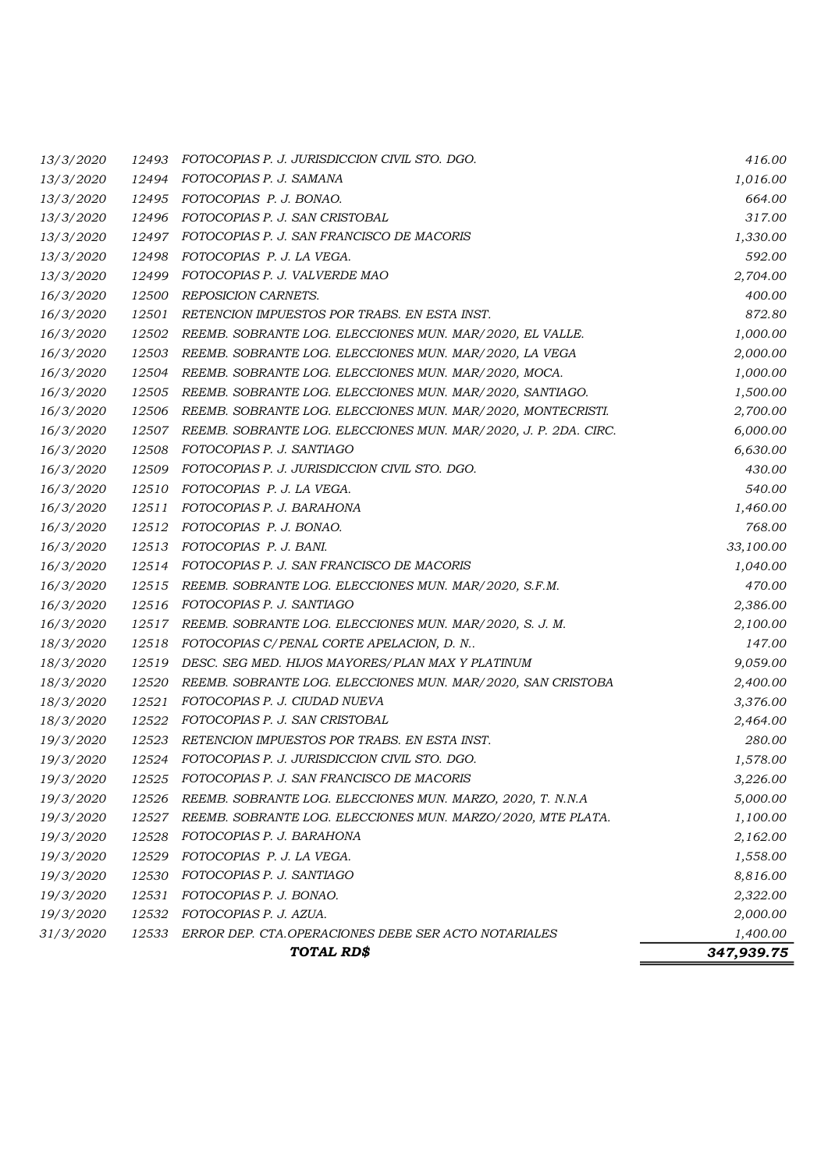|                        |                | TOTAL RD\$                                                      | 347,939.75       |
|------------------------|----------------|-----------------------------------------------------------------|------------------|
| 31/3/2020              | 12533          | ERROR DEP. CTA.OPERACIONES DEBE SER ACTO NOTARIALES             | 1,400.00         |
| 19/3/2020              | 12532          | FOTOCOPIAS P. J. AZUA.                                          | 2,000.00         |
| 19/3/2020              | 12531          | FOTOCOPIAS P. J. BONAO.                                         | 2,322.00         |
| 19/3/2020              | 12530          | FOTOCOPIAS P. J. SANTIAGO                                       | 8,816.00         |
| 19/3/2020              | 12529          | FOTOCOPIAS P. J. LA VEGA.                                       | 1,558.00         |
| 19/3/2020              | 12528          | FOTOCOPIAS P. J. BARAHONA                                       | 2,162.00         |
| 19/3/2020              | 12527          | REEMB. SOBRANTE LOG. ELECCIONES MUN. MARZO/2020, MTE PLATA.     | 1,100.00         |
| 19/3/2020              | 12526          | REEMB. SOBRANTE LOG. ELECCIONES MUN. MARZO, 2020, T. N.N.A      | 5,000.00         |
| 19/3/2020              |                | 12525 FOTOCOPIAS P. J. SAN FRANCISCO DE MACORIS                 | 3,226.00         |
| 19/3/2020              | 12524          | FOTOCOPIAS P. J. JURISDICCION CIVIL STO. DGO.                   | 1,578.00         |
| 19/3/2020              | 12523          | RETENCION IMPUESTOS POR TRABS. EN ESTA INST.                    | 280.00           |
| 18/3/2020              | 12522          | FOTOCOPIAS P. J. SAN CRISTOBAL                                  | 2,464.00         |
| 18/3/2020              | 12521          | FOTOCOPIAS P. J. CIUDAD NUEVA                                   | 3,376.00         |
| 18/3/2020              | 12520          | REEMB. SOBRANTE LOG. ELECCIONES MUN. MAR/2020, SAN CRISTOBA     | 2,400.00         |
| 18/3/2020              | 12519          | DESC. SEG MED. HIJOS MAYORES/PLAN MAX Y PLATINUM                | 9,059.00         |
| 18/3/2020              | 12518          | FOTOCOPIAS C/PENAL CORTE APELACION, D. N                        | 147.00           |
| 16/3/2020              | 12517          | REEMB. SOBRANTE LOG. ELECCIONES MUN. MAR/2020, S. J. M.         | 2,100.00         |
| 16/3/2020              | 12516          | FOTOCOPIAS P. J. SANTIAGO                                       | 2,386.00         |
| 16/3/2020              | 12515          | REEMB. SOBRANTE LOG. ELECCIONES MUN. MAR/2020, S.F.M.           | 470.00           |
| 16/3/2020              | 12514          | FOTOCOPIAS P. J. SAN FRANCISCO DE MACORIS                       | 1,040.00         |
| 16/3/2020              | 12513          | FOTOCOPIAS P. J. BANI.                                          | 33,100.00        |
| 16/3/2020              | 12512          | FOTOCOPIAS P. J. BONAO.                                         | 768.00           |
| 16/3/2020              | 12511          | FOTOCOPIAS P. J. BARAHONA                                       | 1,460.00         |
| 16/3/2020              | 12510          | FOTOCOPIAS P. J. LA VEGA.                                       | 540.00           |
| 16/3/2020              | 12509          | FOTOCOPIAS P. J. JURISDICCION CIVIL STO. DGO.                   | 430.00           |
| 16/3/2020              | 12508          | FOTOCOPIAS P. J. SANTIAGO                                       | 6,630.00         |
| 16/3/2020              | 12507          | REEMB. SOBRANTE LOG. ELECCIONES MUN. MAR/2020, J. P. 2DA. CIRC. | 6,000.00         |
| 16/3/2020              | 12506          | REEMB. SOBRANTE LOG. ELECCIONES MUN. MAR/2020, MONTECRISTI.     | 2,700.00         |
| 16/3/2020              | 12505          | REEMB. SOBRANTE LOG. ELECCIONES MUN. MAR/2020, SANTIAGO.        | 1,500.00         |
| 16/3/2020              | 12504          | REEMB. SOBRANTE LOG. ELECCIONES MUN. MAR/2020, MOCA.            | 1,000.00         |
| 16/3/2020              | 12503          | REEMB. SOBRANTE LOG. ELECCIONES MUN. MAR/2020, LA VEGA          | 2,000.00         |
| 16/3/2020              | 12502          | REEMB. SOBRANTE LOG. ELECCIONES MUN. MAR/2020, EL VALLE.        | 1,000.00         |
| 16/3/2020              | 12501          | RETENCION IMPUESTOS POR TRABS. EN ESTA INST.                    | 872.80           |
| 16/3/2020              | 12500          | REPOSICION CARNETS.                                             | 400.00           |
| 13/3/2020              | 12499          | FOTOCOPIAS P. J. VALVERDE MAO                                   | 2,704.00         |
| 13/3/2020              | 12498          | FOTOCOPIAS P. J. LA VEGA.                                       | 592.00           |
| 13/3/2020              | 12497          | FOTOCOPIAS P. J. SAN FRANCISCO DE MACORIS                       | 1,330.00         |
| 13/3/2020<br>13/3/2020 | 12495<br>12496 | FOTOCOPIAS P. J. BONAO.<br>FOTOCOPIAS P. J. SAN CRISTOBAL       | 664.00<br>317.00 |
| 13/3/2020              | 12494          | FOTOCOPIAS P. J. SAMANA                                         | 1,016.00         |
| 13/3/2020              | 12493          | FOTOCOPIAS P. J. JURISDICCION CIVIL STO. DGO.                   | 416.00           |
|                        |                |                                                                 |                  |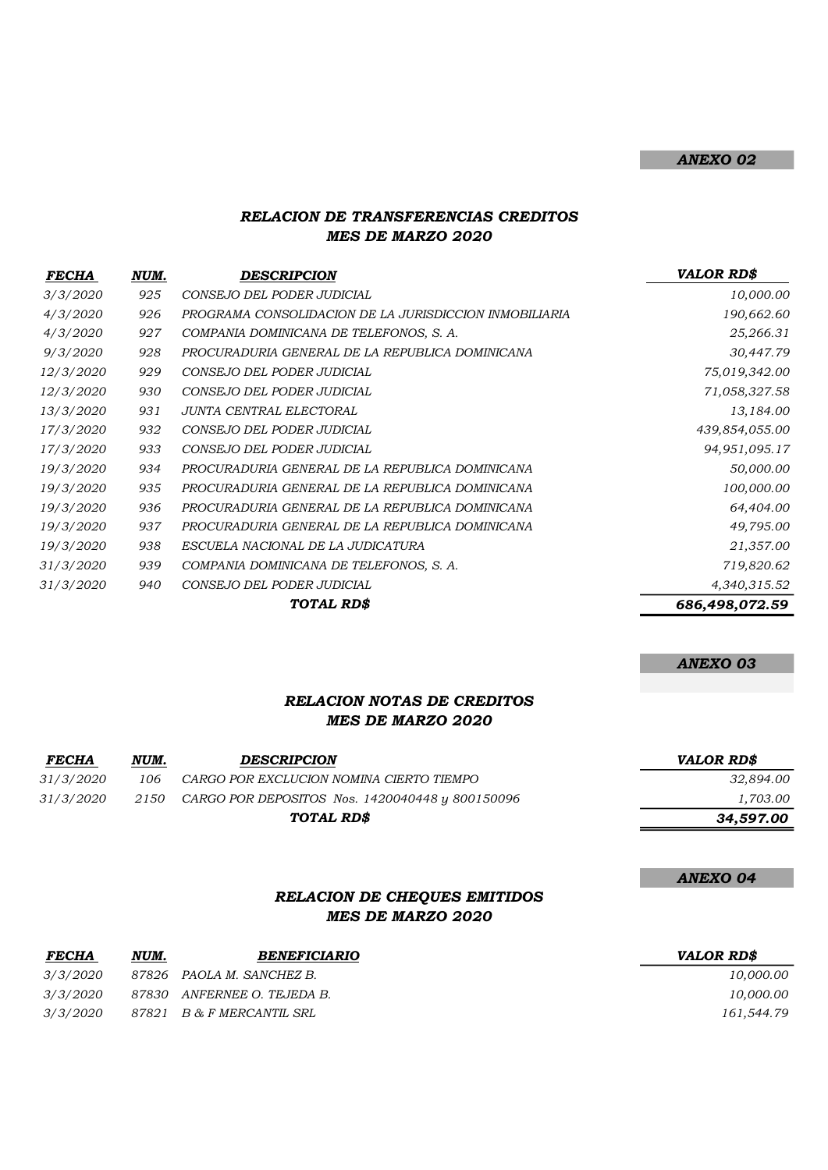#### ANEXO 02

### RELACION DE TRANSFERENCIAS CREDITOS MES DE MARZO 2020

| <b>FECHA</b>     | NUM. | <b>DESCRIPCION</b>                                     | <b>VALOR RDS</b> |
|------------------|------|--------------------------------------------------------|------------------|
| 3/3/2020         | 925  | CONSEJO DEL PODER JUDICIAL                             | 10,000.00        |
| 4/3/2020         | 926  | PROGRAMA CONSOLIDACION DE LA JURISDICCION INMOBILIARIA | 190,662.60       |
| 4/3/2020         | 927  | COMPANIA DOMINICANA DE TELEFONOS, S. A.                | 25,266.31        |
| 9/3/2020         | 928  | PROCURADURIA GENERAL DE LA REPUBLICA DOMINICANA        | 30,447.79        |
| 12/3/2020        | 929  | CONSEJO DEL PODER JUDICIAL                             | 75,019,342.00    |
| <i>12/3/2020</i> | 930  | CONSEJO DEL PODER JUDICIAL                             | 71,058,327.58    |
| 13/3/2020        | 931  | JUNTA CENTRAL ELECTORAL                                | 13,184.00        |
| <i>17/3/2020</i> | 932  | CONSEJO DEL PODER JUDICIAL                             | 439,854,055.00   |
| 17/3/2020        | 933  | CONSEJO DEL PODER JUDICIAL                             | 94, 951, 095. 17 |
| 19/3/2020        | 934  | PROCURADURIA GENERAL DE LA REPUBLICA DOMINICANA        | 50,000.00        |
| 19/3/2020        | 935  | PROCURADURIA GENERAL DE LA REPUBLICA DOMINICANA        | 100,000.00       |
| 19/3/2020        | 936  | PROCURADURIA GENERAL DE LA REPUBLICA DOMINICANA        | 64,404.00        |
| 19/3/2020        | 937  | PROCURADURIA GENERAL DE LA REPUBLICA DOMINICANA        | 49,795.00        |
| <i>19/3/2020</i> | 938  | ESCUELA NACIONAL DE LA JUDICATURA                      | 21,357.00        |
| 31/3/2020        | 939  | COMPANIA DOMINICANA DE TELEFONOS, S. A.                | 719,820.62       |
| 31/3/2020        | 940  | CONSEJO DEL PODER JUDICIAL                             | 4,340,315.52     |
|                  |      | TOTAL RD\$                                             | 686,498,072.59   |

ANEXO 03

ANEXO 04

## RELACION NOTAS DE CREDITOS MES DE MARZO 2020

| <b>FECHA</b> | NUM. | <b>DESCRIPCION</b>                              | <i><b>VALOR RD\$</b></i> |
|--------------|------|-------------------------------------------------|--------------------------|
| 31/3/2020    | 106  | CARGO POR EXCLUCION NOMINA CIERTO TIEMPO        | 32,894.00                |
| 31/3/2020    | 2150 | CARGO POR DEPOSITOS Nos. 1420040448 y 800150096 | 1,703.00                 |
|              |      | TOTAL RD\$                                      | 34,597.00                |

#### RELACION DE CHEQUES EMITIDOS MES DE MARZO 2020

| <b>FECHA</b>    | NUM. | <i><b>BENEFICIARIO</b></i>  | <i><b>VALOR RDS</b></i> |
|-----------------|------|-----------------------------|-------------------------|
| <i>3/3/2020</i> |      | 87826 PAOLA M. SANCHEZ B.   | 10,000.00               |
| <i>3/3/2020</i> |      | 87830 ANFERNEE O. TEJEDA B. | 10,000.00               |
| <i>3/3/2020</i> |      | 87821 B & F MERCANTIL SRL   | 161.544.79              |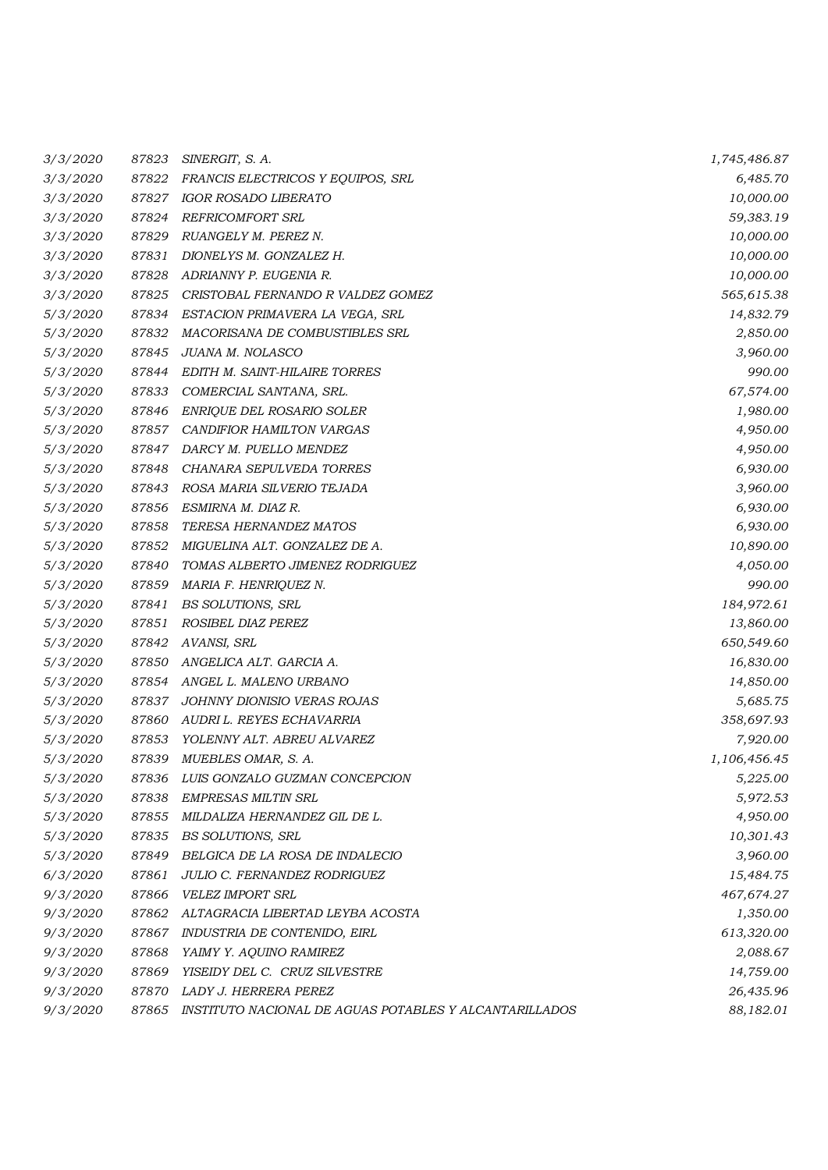| 3/3/2020 | 87823 | SINERGIT, S. A.                                        | 1,745,486.87 |
|----------|-------|--------------------------------------------------------|--------------|
| 3/3/2020 | 87822 | FRANCIS ELECTRICOS Y EQUIPOS, SRL                      | 6,485.70     |
| 3/3/2020 | 87827 | IGOR ROSADO LIBERATO                                   | 10,000.00    |
| 3/3/2020 | 87824 | <b>REFRICOMFORT SRL</b>                                | 59,383.19    |
| 3/3/2020 | 87829 | RUANGELY M. PEREZ N.                                   | 10,000.00    |
| 3/3/2020 | 87831 | DIONELYS M. GONZALEZ H.                                | 10,000.00    |
| 3/3/2020 | 87828 | ADRIANNY P. EUGENIA R.                                 | 10,000.00    |
| 3/3/2020 | 87825 | CRISTOBAL FERNANDO R VALDEZ GOMEZ                      | 565,615.38   |
| 5/3/2020 | 87834 | ESTACION PRIMAVERA LA VEGA, SRL                        | 14,832.79    |
| 5/3/2020 | 87832 | MACORISANA DE COMBUSTIBLES SRL                         | 2,850.00     |
| 5/3/2020 | 87845 | JUANA M. NOLASCO                                       | 3,960.00     |
| 5/3/2020 | 87844 | EDITH M. SAINT-HILAIRE TORRES                          | 990.00       |
| 5/3/2020 | 87833 | COMERCIAL SANTANA, SRL.                                | 67,574.00    |
| 5/3/2020 | 87846 | ENRIQUE DEL ROSARIO SOLER                              | 1,980.00     |
| 5/3/2020 | 87857 | CANDIFIOR HAMILTON VARGAS                              | 4,950.00     |
| 5/3/2020 | 87847 | DARCY M. PUELLO MENDEZ                                 | 4,950.00     |
| 5/3/2020 | 87848 | CHANARA SEPULVEDA TORRES                               | 6,930.00     |
| 5/3/2020 | 87843 | ROSA MARIA SILVERIO TEJADA                             | 3,960.00     |
| 5/3/2020 | 87856 | ESMIRNA M. DIAZ R.                                     | 6,930.00     |
| 5/3/2020 | 87858 | TERESA HERNANDEZ MATOS                                 | 6,930.00     |
| 5/3/2020 | 87852 | MIGUELINA ALT. GONZALEZ DE A.                          | 10,890.00    |
| 5/3/2020 | 87840 | TOMAS ALBERTO JIMENEZ RODRIGUEZ                        | 4,050.00     |
| 5/3/2020 | 87859 | MARIA F. HENRIQUEZ N.                                  | 990.00       |
| 5/3/2020 | 87841 | BS SOLUTIONS, SRL                                      | 184,972.61   |
| 5/3/2020 | 87851 | ROSIBEL DIAZ PEREZ                                     | 13,860.00    |
| 5/3/2020 | 87842 | AVANSI, SRL                                            | 650,549.60   |
| 5/3/2020 | 87850 | ANGELICA ALT. GARCIA A.                                | 16,830.00    |
| 5/3/2020 | 87854 | ANGEL L. MALENO URBANO                                 | 14,850.00    |
| 5/3/2020 | 87837 | JOHNNY DIONISIO VERAS ROJAS                            | 5,685.75     |
| 5/3/2020 | 87860 | AUDRI L. REYES ECHAVARRIA                              | 358,697.93   |
| 5/3/2020 | 87853 | YOLENNY ALT. ABREU ALVAREZ                             | 7,920.00     |
| 5/3/2020 |       | 87839 MUEBLES OMAR, S. A.                              | 1,106,456.45 |
| 5/3/2020 | 87836 | LUIS GONZALO GUZMAN CONCEPCION                         | 5,225.00     |
| 5/3/2020 | 87838 | <b>EMPRESAS MILTIN SRL</b>                             | 5,972.53     |
| 5/3/2020 | 87855 | MILDALIZA HERNANDEZ GIL DE L.                          | 4,950.00     |
| 5/3/2020 | 87835 | BS SOLUTIONS, SRL                                      | 10,301.43    |
| 5/3/2020 | 87849 | BELGICA DE LA ROSA DE INDALECIO                        | 3,960.00     |
| 6/3/2020 | 87861 | JULIO C. FERNANDEZ RODRIGUEZ                           | 15,484.75    |
| 9/3/2020 | 87866 | <b>VELEZ IMPORT SRL</b>                                | 467,674.27   |
| 9/3/2020 | 87862 | ALTAGRACIA LIBERTAD LEYBA ACOSTA                       | 1,350.00     |
| 9/3/2020 | 87867 | INDUSTRIA DE CONTENIDO, EIRL                           | 613,320.00   |
| 9/3/2020 | 87868 | YAIMY Y. AQUINO RAMIREZ                                | 2,088.67     |
| 9/3/2020 | 87869 | YISEIDY DEL C. CRUZ SILVESTRE                          | 14,759.00    |
| 9/3/2020 | 87870 | LADY J. HERRERA PEREZ                                  | 26,435.96    |
| 9/3/2020 | 87865 | INSTITUTO NACIONAL DE AGUAS POTABLES Y ALCANTARILLADOS | 88,182.01    |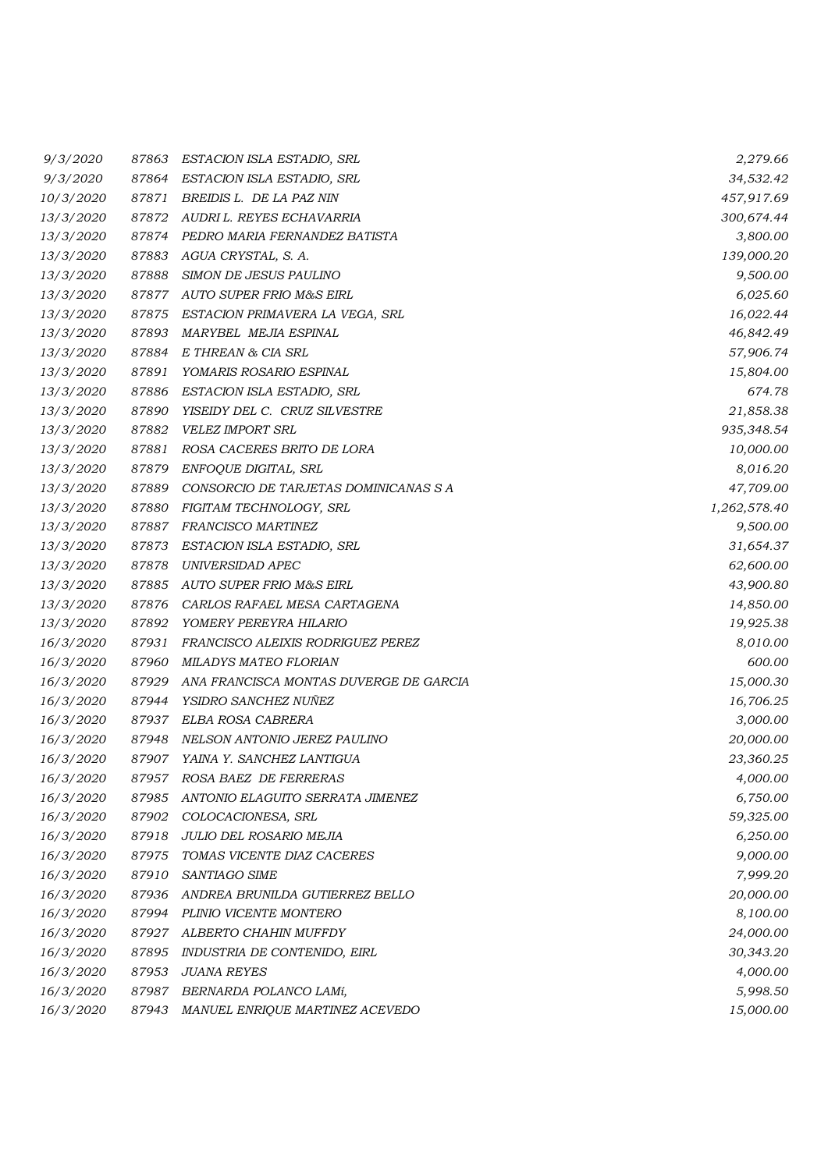| 9/3/2020  | 87863 | ESTACION ISLA ESTADIO, SRL             | 2,279.66     |
|-----------|-------|----------------------------------------|--------------|
| 9/3/2020  | 87864 | ESTACION ISLA ESTADIO, SRL             | 34,532.42    |
| 10/3/2020 | 87871 | BREIDIS L. DE LA PAZ NIN               | 457,917.69   |
| 13/3/2020 | 87872 | AUDRI L. REYES ECHAVARRIA              | 300,674.44   |
| 13/3/2020 | 87874 | PEDRO MARIA FERNANDEZ BATISTA          | 3,800.00     |
| 13/3/2020 | 87883 | AGUA CRYSTAL, S. A.                    | 139,000.20   |
| 13/3/2020 | 87888 | SIMON DE JESUS PAULINO                 | 9,500.00     |
| 13/3/2020 | 87877 | AUTO SUPER FRIO M&S EIRL               | 6,025.60     |
| 13/3/2020 | 87875 | ESTACION PRIMAVERA LA VEGA, SRL        | 16,022.44    |
| 13/3/2020 | 87893 | MARYBEL MEJIA ESPINAL                  | 46,842.49    |
| 13/3/2020 | 87884 | E THREAN & CIA SRL                     | 57,906.74    |
| 13/3/2020 | 87891 | YOMARIS ROSARIO ESPINAL                | 15,804.00    |
| 13/3/2020 | 87886 | ESTACION ISLA ESTADIO, SRL             | 674.78       |
| 13/3/2020 | 87890 | YISEIDY DEL C. CRUZ SILVESTRE          | 21,858.38    |
| 13/3/2020 | 87882 | <b>VELEZ IMPORT SRL</b>                | 935,348.54   |
| 13/3/2020 | 87881 | ROSA CACERES BRITO DE LORA             | 10,000.00    |
| 13/3/2020 | 87879 | ENFOQUE DIGITAL, SRL                   | 8,016.20     |
| 13/3/2020 | 87889 | CONSORCIO DE TARJETAS DOMINICANAS S A  | 47,709.00    |
| 13/3/2020 | 87880 | FIGITAM TECHNOLOGY, SRL                | 1,262,578.40 |
| 13/3/2020 | 87887 | FRANCISCO MARTINEZ                     | 9,500.00     |
| 13/3/2020 | 87873 | ESTACION ISLA ESTADIO, SRL             | 31,654.37    |
| 13/3/2020 | 87878 | UNIVERSIDAD APEC                       | 62,600.00    |
| 13/3/2020 | 87885 | AUTO SUPER FRIO M&S EIRL               | 43,900.80    |
| 13/3/2020 | 87876 | CARLOS RAFAEL MESA CARTAGENA           | 14,850.00    |
| 13/3/2020 | 87892 | YOMERY PEREYRA HILARIO                 | 19,925.38    |
| 16/3/2020 | 87931 | FRANCISCO ALEIXIS RODRIGUEZ PEREZ      | 8,010.00     |
| 16/3/2020 | 87960 | MILADYS MATEO FLORIAN                  | 600.00       |
| 16/3/2020 | 87929 | ANA FRANCISCA MONTAS DUVERGE DE GARCIA | 15,000.30    |
| 16/3/2020 | 87944 | YSIDRO SANCHEZ NUÑEZ                   | 16,706.25    |
| 16/3/2020 | 87937 | ELBA ROSA CABRERA                      | 3,000.00     |
| 16/3/2020 | 87948 | NELSON ANTONIO JEREZ PAULINO           | 20,000.00    |
| 16/3/2020 |       | 87907 YAINA Y. SANCHEZ LANTIGUA        | 23,360.25    |
| 16/3/2020 | 87957 | ROSA BAEZ DE FERRERAS                  | 4,000.00     |
| 16/3/2020 | 87985 | ANTONIO ELAGUITO SERRATA JIMENEZ       | 6,750.00     |
| 16/3/2020 | 87902 | COLOCACIONESA, SRL                     | 59,325.00    |
| 16/3/2020 | 87918 | JULIO DEL ROSARIO MEJIA                | 6,250.00     |
| 16/3/2020 | 87975 | TOMAS VICENTE DIAZ CACERES             | 9,000.00     |
| 16/3/2020 | 87910 | SANTIAGO SIME                          | 7,999.20     |
| 16/3/2020 | 87936 | ANDREA BRUNILDA GUTIERREZ BELLO        | 20,000.00    |
| 16/3/2020 | 87994 | PLINIO VICENTE MONTERO                 | 8,100.00     |
| 16/3/2020 | 87927 | ALBERTO CHAHIN MUFFDY                  | 24,000.00    |
| 16/3/2020 | 87895 | INDUSTRIA DE CONTENIDO, EIRL           | 30,343.20    |
| 16/3/2020 | 87953 | <b>JUANA REYES</b>                     | 4,000.00     |
| 16/3/2020 | 87987 | BERNARDA POLANCO LAMí,                 | 5,998.50     |
| 16/3/2020 | 87943 | MANUEL ENRIQUE MARTINEZ ACEVEDO        | 15,000.00    |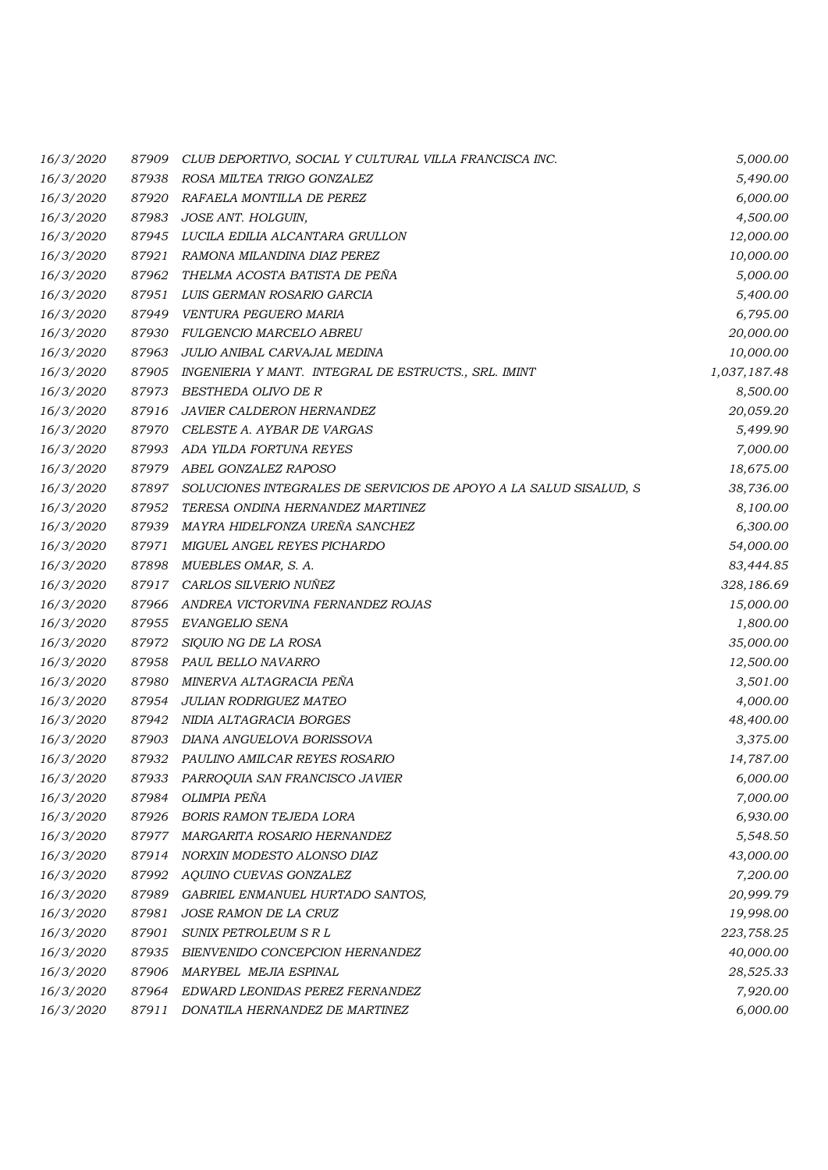| 16/3/2020 | 87909 | CLUB DEPORTIVO, SOCIAL Y CULTURAL VILLA FRANCISCA INC.            | 5,000.00     |
|-----------|-------|-------------------------------------------------------------------|--------------|
| 16/3/2020 | 87938 | ROSA MILTEA TRIGO GONZALEZ                                        | 5,490.00     |
| 16/3/2020 | 87920 | RAFAELA MONTILLA DE PEREZ                                         | 6,000.00     |
| 16/3/2020 | 87983 | JOSE ANT. HOLGUIN,                                                | 4,500.00     |
| 16/3/2020 | 87945 | LUCILA EDILIA ALCANTARA GRULLON                                   | 12,000.00    |
| 16/3/2020 | 87921 | RAMONA MILANDINA DIAZ PEREZ                                       | 10,000.00    |
| 16/3/2020 | 87962 | THELMA ACOSTA BATISTA DE PENA                                     | 5,000.00     |
| 16/3/2020 | 87951 | LUIS GERMAN ROSARIO GARCIA                                        | 5,400.00     |
| 16/3/2020 | 87949 | VENTURA PEGUERO MARIA                                             | 6,795.00     |
| 16/3/2020 | 87930 | FULGENCIO MARCELO ABREU                                           | 20,000.00    |
| 16/3/2020 | 87963 | JULIO ANIBAL CARVAJAL MEDINA                                      | 10,000.00    |
| 16/3/2020 | 87905 | INGENIERIA Y MANT. INTEGRAL DE ESTRUCTS., SRL. IMINT              | 1,037,187.48 |
| 16/3/2020 | 87973 | BESTHEDA OLIVO DE R                                               | 8,500.00     |
| 16/3/2020 | 87916 | JAVIER CALDERON HERNANDEZ                                         | 20,059.20    |
| 16/3/2020 | 87970 | CELESTE A. AYBAR DE VARGAS                                        | 5,499.90     |
| 16/3/2020 | 87993 | ADA YILDA FORTUNA REYES                                           | 7,000.00     |
| 16/3/2020 | 87979 | ABEL GONZALEZ RAPOSO                                              | 18,675.00    |
| 16/3/2020 | 87897 | SOLUCIONES INTEGRALES DE SERVICIOS DE APOYO A LA SALUD SISALUD, S | 38,736.00    |
| 16/3/2020 | 87952 | TERESA ONDINA HERNANDEZ MARTINEZ                                  | 8,100.00     |
| 16/3/2020 | 87939 | MAYRA HIDELFONZA UREÑA SANCHEZ                                    | 6,300.00     |
| 16/3/2020 | 87971 | MIGUEL ANGEL REYES PICHARDO                                       | 54,000.00    |
| 16/3/2020 | 87898 | MUEBLES OMAR, S. A.                                               | 83,444.85    |
| 16/3/2020 | 87917 | CARLOS SILVERIO NUÑEZ                                             | 328,186.69   |
| 16/3/2020 | 87966 | ANDREA VICTORVINA FERNANDEZ ROJAS                                 | 15,000.00    |
| 16/3/2020 | 87955 | EVANGELIO SENA                                                    | 1,800.00     |
| 16/3/2020 | 87972 | SIQUIO NG DE LA ROSA                                              | 35,000.00    |
| 16/3/2020 | 87958 | PAUL BELLO NAVARRO                                                | 12,500.00    |
| 16/3/2020 | 87980 | MINERVA ALTAGRACIA PEÑA                                           | 3,501.00     |
| 16/3/2020 | 87954 | JULIAN RODRIGUEZ MATEO                                            | 4,000.00     |
| 16/3/2020 | 87942 | NIDIA ALTAGRACIA BORGES                                           | 48,400.00    |
| 16/3/2020 | 87903 | DIANA ANGUELOVA BORISSOVA                                         | 3,375.00     |
| 16/3/2020 |       | 87932 PAULINO AMILCAR REYES ROSARIO                               | 14,787.00    |
| 16/3/2020 | 87933 | PARROQUIA SAN FRANCISCO JAVIER                                    | 6,000.00     |
| 16/3/2020 | 87984 | OLIMPIA PEÑA                                                      | 7,000.00     |
| 16/3/2020 | 87926 | BORIS RAMON TEJEDA LORA                                           | 6,930.00     |
| 16/3/2020 | 87977 | MARGARITA ROSARIO HERNANDEZ                                       | 5,548.50     |
| 16/3/2020 | 87914 | NORXIN MODESTO ALONSO DIAZ                                        | 43,000.00    |
| 16/3/2020 | 87992 | AQUINO CUEVAS GONZALEZ                                            | 7,200.00     |
| 16/3/2020 | 87989 | GABRIEL ENMANUEL HURTADO SANTOS,                                  | 20,999.79    |
| 16/3/2020 | 87981 | <i>JOSE RAMON DE LA CRUZ</i>                                      | 19,998.00    |
| 16/3/2020 | 87901 | <b>SUNIX PETROLEUM S R L</b>                                      | 223,758.25   |
| 16/3/2020 | 87935 | BIENVENIDO CONCEPCION HERNANDEZ                                   | 40,000.00    |
| 16/3/2020 | 87906 | <b>MARYBEL MEJIA ESPINAL</b>                                      | 28,525.33    |
| 16/3/2020 | 87964 | EDWARD LEONIDAS PEREZ FERNANDEZ                                   | 7,920.00     |
| 16/3/2020 | 87911 | DONATILA HERNANDEZ DE MARTINEZ                                    | 6,000.00     |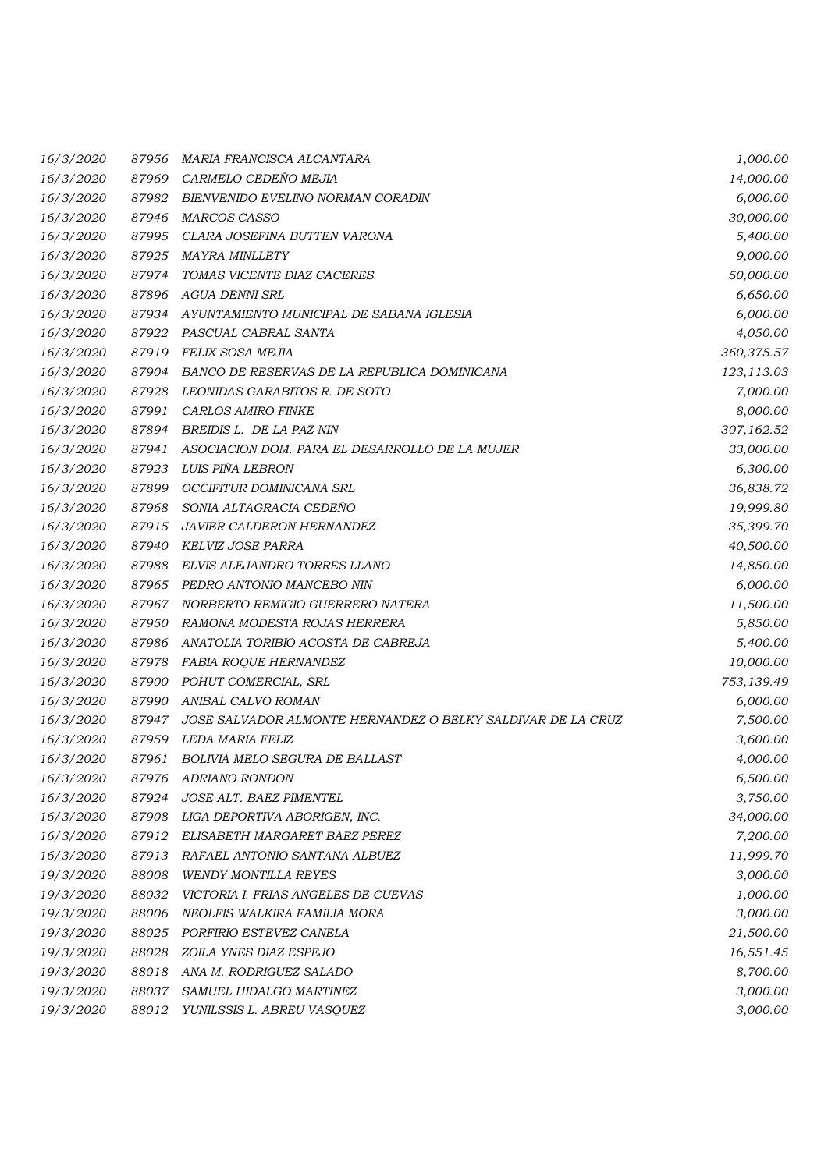| 16/3/2020 | 87956 | MARIA FRANCISCA ALCANTARA                                   | 1,000.00   |
|-----------|-------|-------------------------------------------------------------|------------|
| 16/3/2020 | 87969 | CARMELO CEDEÑO MEJIA                                        | 14,000.00  |
| 16/3/2020 | 87982 | BIENVENIDO EVELINO NORMAN CORADIN                           | 6,000.00   |
| 16/3/2020 | 87946 | MARCOS CASSO                                                | 30,000.00  |
| 16/3/2020 | 87995 | CLARA JOSEFINA BUTTEN VARONA                                | 5,400.00   |
| 16/3/2020 | 87925 | MAYRA MINLLETY                                              | 9,000.00   |
| 16/3/2020 | 87974 | TOMAS VICENTE DIAZ CACERES                                  | 50,000.00  |
| 16/3/2020 | 87896 | AGUA DENNI SRL                                              | 6,650.00   |
| 16/3/2020 | 87934 | AYUNTAMIENTO MUNICIPAL DE SABANA IGLESIA                    | 6,000.00   |
| 16/3/2020 | 87922 | PASCUAL CABRAL SANTA                                        | 4,050.00   |
| 16/3/2020 | 87919 | FELIX SOSA MEJIA                                            | 360,375.57 |
| 16/3/2020 | 87904 | BANCO DE RESERVAS DE LA REPUBLICA DOMINICANA                | 123,113.03 |
| 16/3/2020 | 87928 | LEONIDAS GARABITOS R. DE SOTO                               | 7,000.00   |
| 16/3/2020 | 87991 | <b>CARLOS AMIRO FINKE</b>                                   | 8,000.00   |
| 16/3/2020 | 87894 | BREIDIS L. DE LA PAZ NIN                                    | 307,162.52 |
| 16/3/2020 | 87941 | ASOCIACION DOM. PARA EL DESARROLLO DE LA MUJER              | 33,000.00  |
| 16/3/2020 | 87923 | LUIS PINA LEBRON                                            | 6,300.00   |
| 16/3/2020 | 87899 | OCCIFITUR DOMINICANA SRL                                    | 36,838.72  |
| 16/3/2020 | 87968 | SONIA ALTAGRACIA CEDEÑO                                     | 19,999.80  |
| 16/3/2020 | 87915 | <i>JAVIER CALDERON HERNANDEZ</i>                            | 35,399.70  |
| 16/3/2020 | 87940 | KELVIZ JOSE PARRA                                           | 40,500.00  |
| 16/3/2020 | 87988 | ELVIS ALEJANDRO TORRES LLANO                                | 14,850.00  |
| 16/3/2020 | 87965 | PEDRO ANTONIO MANCEBO NIN                                   | 6,000.00   |
| 16/3/2020 | 87967 | NORBERTO REMIGIO GUERRERO NATERA                            | 11,500.00  |
| 16/3/2020 | 87950 | RAMONA MODESTA ROJAS HERRERA                                | 5,850.00   |
| 16/3/2020 | 87986 | ANATOLIA TORIBIO ACOSTA DE CABREJA                          | 5,400.00   |
| 16/3/2020 | 87978 | FABIA ROQUE HERNANDEZ                                       | 10,000.00  |
| 16/3/2020 | 87900 | POHUT COMERCIAL, SRL                                        | 753,139.49 |
| 16/3/2020 | 87990 | ANIBAL CALVO ROMAN                                          | 6,000.00   |
| 16/3/2020 | 87947 | JOSE SALVADOR ALMONTE HERNANDEZ O BELKY SALDIVAR DE LA CRUZ | 7,500.00   |
| 16/3/2020 | 87959 | LEDA MARIA FELIZ                                            | 3,600.00   |
| 16/3/2020 |       | 87961 BOLIVIA MELO SEGURA DE BALLAST                        | 4,000.00   |
| 16/3/2020 | 87976 | <b>ADRIANO RONDON</b>                                       | 6,500.00   |
| 16/3/2020 | 87924 | JOSE ALT. BAEZ PIMENTEL                                     | 3,750.00   |
| 16/3/2020 | 87908 | LIGA DEPORTIVA ABORIGEN, INC.                               | 34,000.00  |
| 16/3/2020 | 87912 | ELISABETH MARGARET BAEZ PEREZ                               | 7,200.00   |
| 16/3/2020 | 87913 | RAFAEL ANTONIO SANTANA ALBUEZ                               | 11,999.70  |
| 19/3/2020 | 88008 | <b>WENDY MONTILLA REYES</b>                                 | 3,000.00   |
| 19/3/2020 | 88032 | VICTORIA I. FRIAS ANGELES DE CUEVAS                         | 1,000.00   |
| 19/3/2020 | 88006 | NEOLFIS WALKIRA FAMILIA MORA                                | 3,000.00   |
| 19/3/2020 | 88025 | PORFIRIO ESTEVEZ CANELA                                     | 21,500.00  |
| 19/3/2020 | 88028 | ZOILA YNES DIAZ ESPEJO                                      | 16,551.45  |
| 19/3/2020 | 88018 | ANA M. RODRIGUEZ SALADO                                     | 8,700.00   |
| 19/3/2020 | 88037 | SAMUEL HIDALGO MARTINEZ                                     | 3,000.00   |
| 19/3/2020 | 88012 | YUNILSSIS L. ABREU VASQUEZ                                  | 3,000.00   |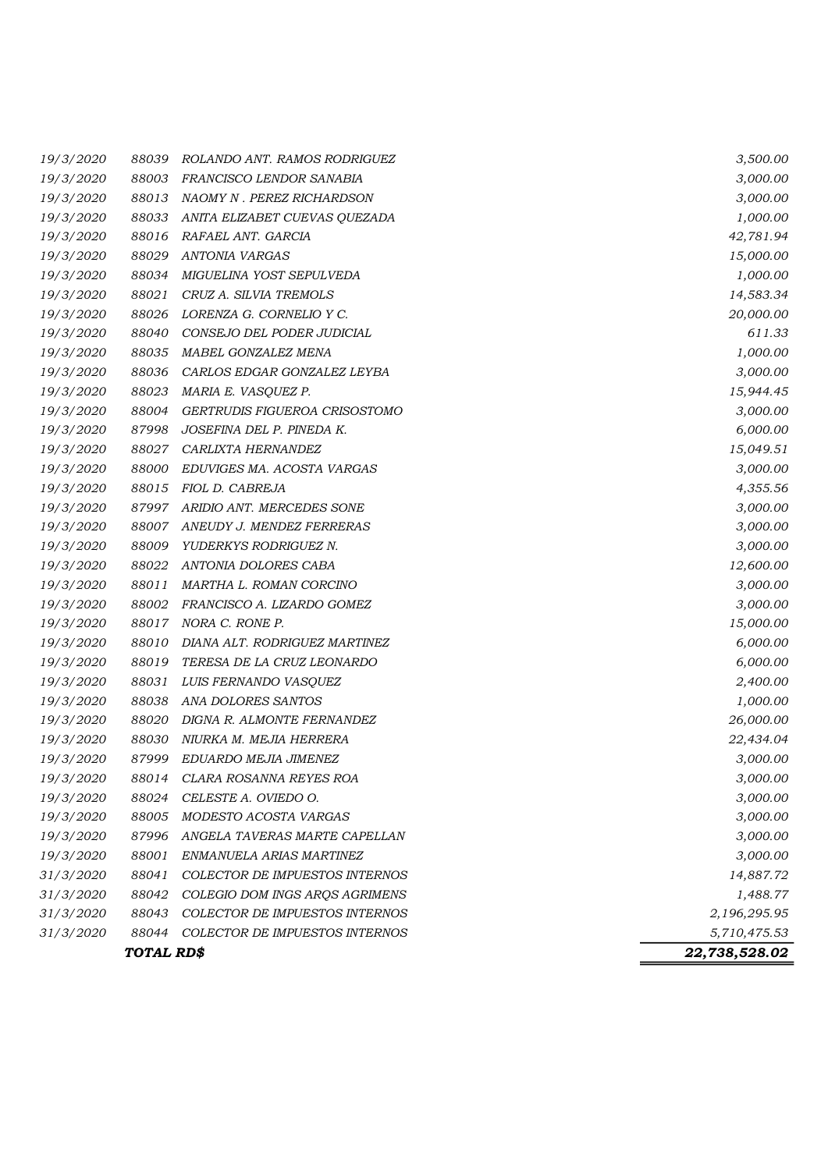| 19/3/2020 | 88039      | ROLANDO ANT. RAMOS RODRIGUEZ   | 3,500.00      |
|-----------|------------|--------------------------------|---------------|
| 19/3/2020 | 88003      | FRANCISCO LENDOR SANABIA       | 3,000.00      |
| 19/3/2020 | 88013      | NAOMY N. PEREZ RICHARDSON      | 3,000.00      |
| 19/3/2020 | 88033      | ANITA ELIZABET CUEVAS QUEZADA  | 1,000.00      |
| 19/3/2020 | 88016      | RAFAEL ANT. GARCIA             | 42,781.94     |
| 19/3/2020 | 88029      | ANTONIA VARGAS                 | 15,000.00     |
| 19/3/2020 | 88034      | MIGUELINA YOST SEPULVEDA       | 1,000.00      |
| 19/3/2020 | 88021      | CRUZ A. SILVIA TREMOLS         | 14,583.34     |
| 19/3/2020 | 88026      | LORENZA G. CORNELIO Y C.       | 20,000.00     |
| 19/3/2020 | 88040      | CONSEJO DEL PODER JUDICIAL     | 611.33        |
| 19/3/2020 | 88035      | MABEL GONZALEZ MENA            | 1,000.00      |
| 19/3/2020 | 88036      | CARLOS EDGAR GONZALEZ LEYBA    | 3,000.00      |
| 19/3/2020 | 88023      | MARIA E. VASQUEZ P.            | 15,944.45     |
| 19/3/2020 | 88004      | GERTRUDIS FIGUEROA CRISOSTOMO  | 3,000.00      |
| 19/3/2020 | 87998      | JOSEFINA DEL P. PINEDA K.      | 6,000.00      |
| 19/3/2020 | 88027      | CARLIXTA HERNANDEZ             | 15,049.51     |
| 19/3/2020 | 88000      | EDUVIGES MA. ACOSTA VARGAS     | 3,000.00      |
| 19/3/2020 | 88015      | FIOL D. CABREJA                | 4,355.56      |
| 19/3/2020 | 87997      | ARIDIO ANT. MERCEDES SONE      | 3,000.00      |
| 19/3/2020 | 88007      | ANEUDY J. MENDEZ FERRERAS      | 3,000.00      |
| 19/3/2020 | 88009      | YUDERKYS RODRIGUEZ N.          | 3,000.00      |
| 19/3/2020 | 88022      | ANTONIA DOLORES CABA           | 12,600.00     |
| 19/3/2020 | 88011      | MARTHA L. ROMAN CORCINO        | 3,000.00      |
| 19/3/2020 | 88002      | FRANCISCO A. LIZARDO GOMEZ     | 3,000.00      |
| 19/3/2020 | 88017      | NORA C. RONE P.                | 15,000.00     |
| 19/3/2020 | 88010      | DIANA ALT. RODRIGUEZ MARTINEZ  | 6,000.00      |
| 19/3/2020 | 88019      | TERESA DE LA CRUZ LEONARDO     | 6,000.00      |
| 19/3/2020 | 88031      | LUIS FERNANDO VASQUEZ          | 2,400.00      |
| 19/3/2020 | 88038      | ANA DOLORES SANTOS             | 1,000.00      |
| 19/3/2020 | 88020      | DIGNA R. ALMONTE FERNANDEZ     | 26,000.00     |
| 19/3/2020 | 88030      | NIURKA M. MEJIA HERRERA        | 22,434.04     |
| 19/3/2020 | 87999      | EDUARDO MEJIA JIMENEZ          | 3,000.00      |
| 19/3/2020 | 88014      | CLARA ROSANNA REYES ROA        | 3,000.00      |
| 19/3/2020 | 88024      | CELESTE A. OVIEDO O.           | 3,000.00      |
| 19/3/2020 | 88005      | MODESTO ACOSTA VARGAS          | 3,000.00      |
| 19/3/2020 | 87996      | ANGELA TAVERAS MARTE CAPELLAN  | 3,000.00      |
| 19/3/2020 | 88001      | ENMANUELA ARIAS MARTINEZ       | 3,000.00      |
| 31/3/2020 | 88041      | COLECTOR DE IMPUESTOS INTERNOS | 14,887.72     |
| 31/3/2020 | 88042      | COLEGIO DOM INGS ARQS AGRIMENS | 1,488.77      |
| 31/3/2020 | 88043      | COLECTOR DE IMPUESTOS INTERNOS | 2,196,295.95  |
| 31/3/2020 | 88044      | COLECTOR DE IMPUESTOS INTERNOS | 5,710,475.53  |
|           | TOTAL RD\$ |                                | 22,738,528.02 |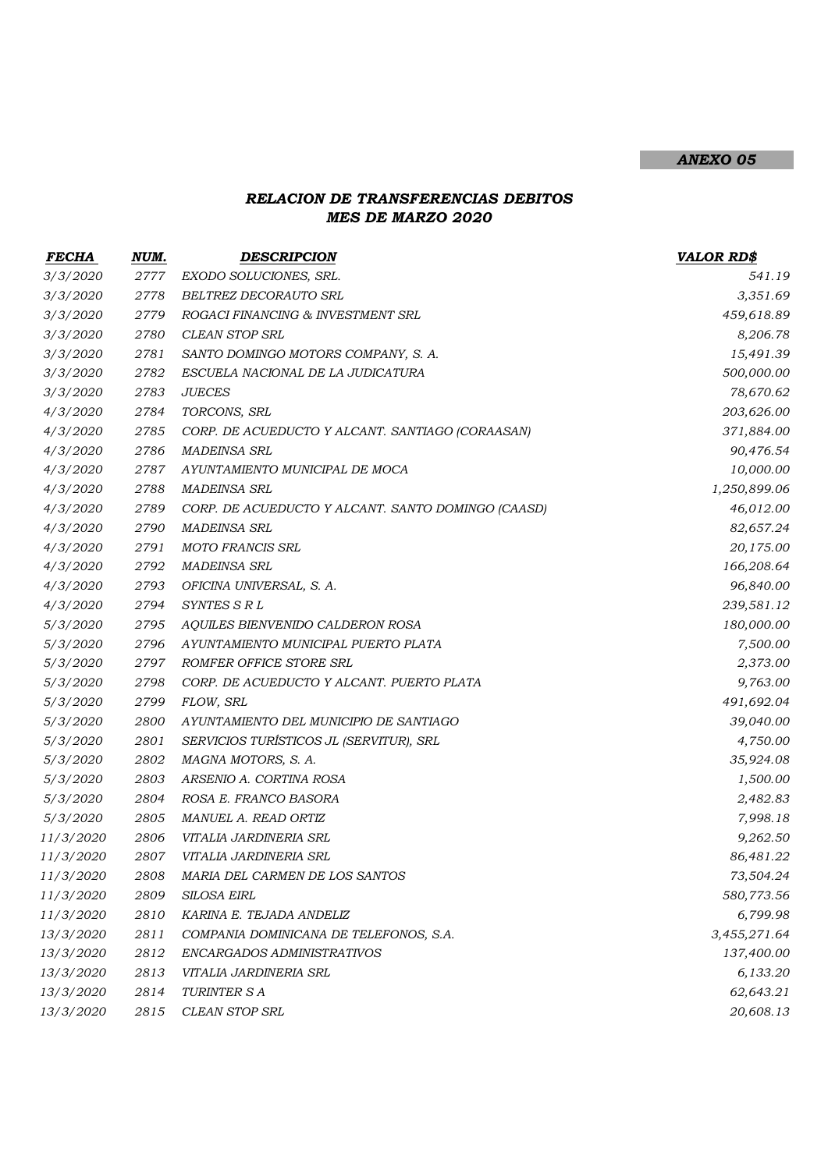## ANEXO 05

## RELACION DE TRANSFERENCIAS DEBITOS MES DE MARZO 2020

| FECHA     | <u>NUM.</u> | <b>DESCRIPCION</b>                                 | <b>VALOR RD\$</b> |
|-----------|-------------|----------------------------------------------------|-------------------|
| 3/3/2020  | 2777        | EXODO SOLUCIONES, SRL.                             | 541.19            |
| 3/3/2020  | 2778        | BELTREZ DECORAUTO SRL                              | 3,351.69          |
| 3/3/2020  | 2779        | ROGACI FINANCING & INVESTMENT SRL                  | 459,618.89        |
| 3/3/2020  | 2780        | <b>CLEAN STOP SRL</b>                              | 8,206.78          |
| 3/3/2020  | 2781        | SANTO DOMINGO MOTORS COMPANY, S. A.                | 15,491.39         |
| 3/3/2020  | 2782        | ESCUELA NACIONAL DE LA JUDICATURA                  | 500,000.00        |
| 3/3/2020  | 2783        | <b>JUECES</b>                                      | 78,670.62         |
| 4/3/2020  | 2784        | TORCONS, SRL                                       | 203,626.00        |
| 4/3/2020  | 2785        | CORP. DE ACUEDUCTO Y ALCANT. SANTIAGO (CORAASAN)   | 371,884.00        |
| 4/3/2020  | 2786        | <b>MADEINSA SRL</b>                                | 90,476.54         |
| 4/3/2020  | 2787        | AYUNTAMIENTO MUNICIPAL DE MOCA                     | 10,000.00         |
| 4/3/2020  | 2788        | <b>MADEINSA SRL</b>                                | 1,250,899.06      |
| 4/3/2020  | 2789        | CORP. DE ACUEDUCTO Y ALCANT. SANTO DOMINGO (CAASD) | 46,012.00         |
| 4/3/2020  | 2790        | MADEINSA SRL                                       | 82,657.24         |
| 4/3/2020  | 2791        | <b>MOTO FRANCIS SRL</b>                            | 20,175.00         |
| 4/3/2020  | 2792        | <b>MADEINSA SRL</b>                                | 166,208.64        |
| 4/3/2020  | 2793        | OFICINA UNIVERSAL, S. A.                           | 96,840.00         |
| 4/3/2020  | 2794        | SYNTES S R L                                       | 239,581.12        |
| 5/3/2020  | 2795        | AQUILES BIENVENIDO CALDERON ROSA                   | 180,000.00        |
| 5/3/2020  | 2796        | AYUNTAMIENTO MUNICIPAL PUERTO PLATA                | 7,500.00          |
| 5/3/2020  | 2797        | ROMFER OFFICE STORE SRL                            | 2,373.00          |
| 5/3/2020  | 2798        | CORP. DE ACUEDUCTO Y ALCANT. PUERTO PLATA          | 9,763.00          |
| 5/3/2020  | 2799        | FLOW, SRL                                          | 491,692.04        |
| 5/3/2020  | 2800        | AYUNTAMIENTO DEL MUNICIPIO DE SANTIAGO             | 39,040.00         |
| 5/3/2020  | 2801        | SERVICIOS TURÍSTICOS JL (SERVITUR), SRL            | 4,750.00          |
| 5/3/2020  | 2802        | MAGNA MOTORS, S. A.                                | 35,924.08         |
| 5/3/2020  | 2803        | ARSENIO A. CORTINA ROSA                            | 1,500.00          |
| 5/3/2020  | 2804        | ROSA E. FRANCO BASORA                              | 2,482.83          |
| 5/3/2020  | 2805        | MANUEL A. READ ORTIZ                               | 7,998.18          |
| 11/3/2020 | 2806        | VITALIA JARDINERIA SRL                             | 9,262.50          |
| 11/3/2020 | 2807        | VITALIA JARDINERIA SRL                             | 86,481.22         |
| 11/3/2020 | 2808        | MARIA DEL CARMEN DE LOS SANTOS                     | 73,504.24         |
| 11/3/2020 | 2809        | SILOSA EIRL                                        | 580,773.56        |
| 11/3/2020 | 2810        | KARINA E. TEJADA ANDELIZ                           | 6,799.98          |
| 13/3/2020 | 2811        | COMPANIA DOMINICANA DE TELEFONOS, S.A.             | 3,455,271.64      |
| 13/3/2020 | 2812        | ENCARGADOS ADMINISTRATIVOS                         | 137,400.00        |
| 13/3/2020 | 2813        | VITALIA JARDINERIA SRL                             | 6,133.20          |
| 13/3/2020 | 2814        | TURINTER S A                                       | 62,643.21         |
| 13/3/2020 | 2815        | CLEAN STOP SRL                                     | 20,608.13         |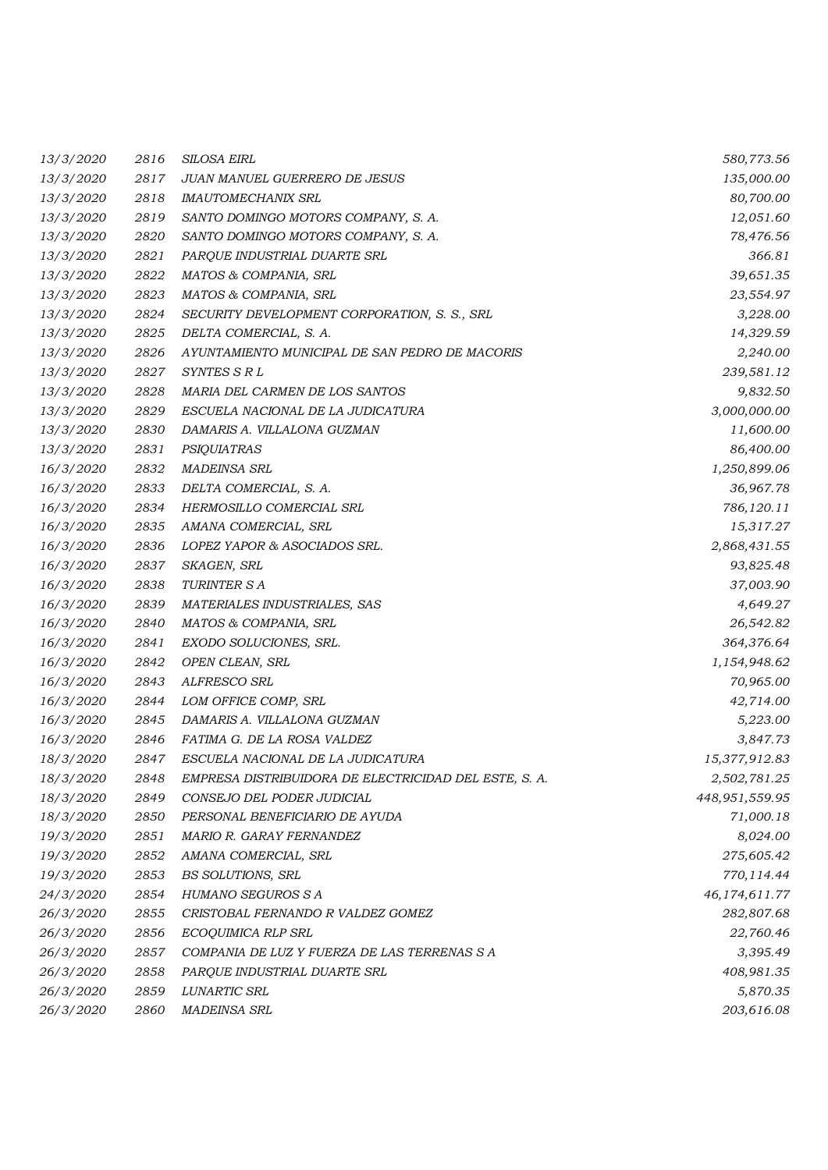| 13/3/2020 | 2816 | <b>SILOSA EIRL</b>                                    | 580,773.56      |
|-----------|------|-------------------------------------------------------|-----------------|
| 13/3/2020 | 2817 | JUAN MANUEL GUERRERO DE JESUS                         | 135,000.00      |
| 13/3/2020 | 2818 | <b>IMAUTOMECHANIX SRL</b>                             | 80,700.00       |
| 13/3/2020 | 2819 | SANTO DOMINGO MOTORS COMPANY, S. A.                   | 12,051.60       |
| 13/3/2020 | 2820 | SANTO DOMINGO MOTORS COMPANY, S. A.                   | 78,476.56       |
| 13/3/2020 | 2821 | PARQUE INDUSTRIAL DUARTE SRL                          | 366.81          |
| 13/3/2020 | 2822 | MATOS & COMPANIA, SRL                                 | 39,651.35       |
| 13/3/2020 | 2823 | MATOS & COMPANIA, SRL                                 | 23,554.97       |
| 13/3/2020 | 2824 | SECURITY DEVELOPMENT CORPORATION, S. S., SRL          | 3,228.00        |
| 13/3/2020 | 2825 | DELTA COMERCIAL, S. A.                                | 14,329.59       |
| 13/3/2020 | 2826 | AYUNTAMIENTO MUNICIPAL DE SAN PEDRO DE MACORIS        | 2,240.00        |
| 13/3/2020 | 2827 | SYNTES SRL                                            | 239,581.12      |
| 13/3/2020 | 2828 | MARIA DEL CARMEN DE LOS SANTOS                        | 9,832.50        |
| 13/3/2020 | 2829 | ESCUELA NACIONAL DE LA JUDICATURA                     | 3,000,000.00    |
| 13/3/2020 | 2830 | DAMARIS A. VILLALONA GUZMAN                           | 11,600.00       |
| 13/3/2020 | 2831 | PSIQUIATRAS                                           | 86,400.00       |
| 16/3/2020 | 2832 | <b>MADEINSA SRL</b>                                   | 1,250,899.06    |
| 16/3/2020 | 2833 | DELTA COMERCIAL, S. A.                                | 36,967.78       |
| 16/3/2020 | 2834 | HERMOSILLO COMERCIAL SRL                              | 786, 120.11     |
| 16/3/2020 | 2835 | AMANA COMERCIAL, SRL                                  | 15,317.27       |
| 16/3/2020 | 2836 | LOPEZ YAPOR & ASOCIADOS SRL.                          | 2,868,431.55    |
| 16/3/2020 | 2837 | SKAGEN, SRL                                           | 93,825.48       |
| 16/3/2020 | 2838 | <b>TURINTER S A</b>                                   | 37,003.90       |
| 16/3/2020 | 2839 | MATERIALES INDUSTRIALES, SAS                          | 4,649.27        |
| 16/3/2020 | 2840 | MATOS & COMPANIA, SRL                                 | 26,542.82       |
| 16/3/2020 | 2841 | EXODO SOLUCIONES, SRL.                                | 364,376.64      |
| 16/3/2020 | 2842 | OPEN CLEAN, SRL                                       | 1,154,948.62    |
| 16/3/2020 | 2843 | ALFRESCO SRL                                          | 70,965.00       |
| 16/3/2020 | 2844 | LOM OFFICE COMP, SRL                                  | 42,714.00       |
| 16/3/2020 | 2845 | DAMARIS A. VILLALONA GUZMAN                           | 5,223.00        |
| 16/3/2020 | 2846 | FATIMA G. DE LA ROSA VALDEZ                           | 3,847.73        |
| 18/3/2020 | 2847 | ESCUELA NACIONAL DE LA JUDICATURA                     | 15,377,912.83   |
| 18/3/2020 | 2848 | EMPRESA DISTRIBUIDORA DE ELECTRICIDAD DEL ESTE, S. A. | 2,502,781.25    |
| 18/3/2020 | 2849 | CONSEJO DEL PODER JUDICIAL                            | 448,951,559.95  |
| 18/3/2020 | 2850 | PERSONAL BENEFICIARIO DE AYUDA                        | 71,000.18       |
| 19/3/2020 | 2851 | MARIO R. GARAY FERNANDEZ                              | 8,024.00        |
| 19/3/2020 | 2852 | AMANA COMERCIAL, SRL                                  | 275,605.42      |
| 19/3/2020 | 2853 | BS SOLUTIONS, SRL                                     | 770,114.44      |
| 24/3/2020 | 2854 | <b>HUMANO SEGUROS S A</b>                             | 46, 174, 611.77 |
| 26/3/2020 | 2855 | CRISTOBAL FERNANDO R VALDEZ GOMEZ                     | 282,807.68      |
| 26/3/2020 | 2856 | ECOQUIMICA RLP SRL                                    | 22,760.46       |
| 26/3/2020 | 2857 | COMPANIA DE LUZ Y FUERZA DE LAS TERRENAS S A          | 3,395.49        |
| 26/3/2020 | 2858 | PARQUE INDUSTRIAL DUARTE SRL                          | 408,981.35      |
| 26/3/2020 | 2859 | LUNARTIC SRL                                          | 5,870.35        |
| 26/3/2020 | 2860 | <b>MADEINSA SRL</b>                                   | 203,616.08      |